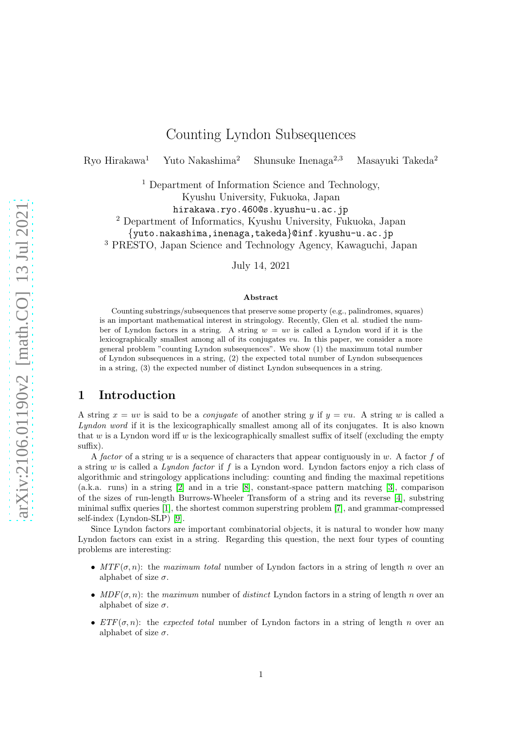# Counting Lyndon Subsequences

Ryo Hirakawa<sup>1</sup> Yuto Nakashima<sup>2</sup> Shunsuke Inenaga<sup>2,3</sup> Masayuki Takeda<sup>2</sup>

<sup>1</sup> Department of Information Science and Technology,

Kyushu University, Fukuoka, Japan

hirakawa.ryo.460@s.kyushu-u.ac.jp

<sup>2</sup> Department of Informatics, Kyushu University, Fukuoka, Japan

{yuto.nakashima,inenaga,takeda}@inf.kyushu-u.ac.jp

<sup>3</sup> PRESTO, Japan Science and Technology Agency, Kawaguchi, Japan

July 14, 2021

#### Abstract

Counting substrings/subsequences that preserve some property (e.g., palindromes, squares) is an important mathematical interest in stringology. Recently, Glen et al. studied the number of Lyndon factors in a string. A string  $w = uv$  is called a Lyndon word if it is the lexicographically smallest among all of its conjugates vu. In this paper, we consider a more general problem "counting Lyndon subsequences". We show (1) the maximum total number of Lyndon subsequences in a string, (2) the expected total number of Lyndon subsequences in a string, (3) the expected number of distinct Lyndon subsequences in a string.

# 1 Introduction

A string  $x = uv$  is said to be a *conjugate* of another string y if  $y = vu$ . A string w is called a Lyndon word if it is the lexicographically smallest among all of its conjugates. It is also known that w is a Lyndon word iff w is the lexicographically smallest suffix of itself (excluding the empty suffix).

A factor of a string w is a sequence of characters that appear contiguously in w. A factor f of a string w is called a Lyndon factor if f is a Lyndon word. Lyndon factors enjoy a rich class of algorithmic and stringology applications including: counting and finding the maximal repetitions (a.k.a. runs) in a string [\[2\]](#page-7-0) and in a trie [\[8\]](#page-7-1), constant-space pattern matching [\[3\]](#page-7-2), comparison of the sizes of run-length Burrows-Wheeler Transform of a string and its reverse [\[4\]](#page-7-3), substring minimal suffix queries [\[1\]](#page-7-4), the shortest common superstring problem [\[7\]](#page-7-5), and grammar-compressed self-index (Lyndon-SLP) [\[9\]](#page-7-6).

Since Lyndon factors are important combinatorial objects, it is natural to wonder how many Lyndon factors can exist in a string. Regarding this question, the next four types of counting problems are interesting:

- $MTF(\sigma, n)$ : the maximum total number of Lyndon factors in a string of length n over an alphabet of size  $\sigma$ .
- $MDF(\sigma, n)$ : the maximum number of distinct Lyndon factors in a string of length n over an alphabet of size  $\sigma$ .
- $ETF(\sigma, n)$ : the expected total number of Lyndon factors in a string of length n over an alphabet of size  $\sigma$ .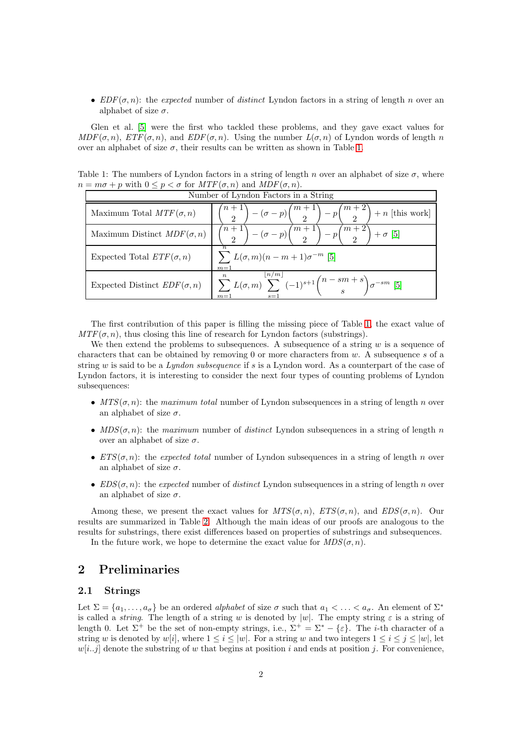•  $EDF(\sigma, n)$ : the expected number of distinct Lyndon factors in a string of length n over an alphabet of size  $\sigma$ .

Glen et al. [\[5\]](#page-7-7) were the first who tackled these problems, and they gave exact values for  $MDF(\sigma, n)$ ,  $ETF(\sigma, n)$ , and  $EDF(\sigma, n)$ . Using the number  $L(\sigma, n)$  of Lyndon words of length n over an alphabet of size  $\sigma$ , their results can be written as shown in Table [1.](#page-1-0)

Table 1: The numbers of Lyndon factors in a string of length n over an alphabet of size  $\sigma$ , where  $n = m\sigma + p$  with  $0 \le p < \sigma$  for  $MTF(\sigma, n)$  and  $MDF(\sigma, n)$ .

<span id="page-1-0"></span>

| Number of Lyndon Factors in a String |                                                                                                              |  |  |
|--------------------------------------|--------------------------------------------------------------------------------------------------------------|--|--|
| Maximum Total $MTF(\sigma, n)$       | $-\left(\sigma-p\right)\binom{m+1}{2}-p\binom{m+2}{2}+n$ [this work]                                         |  |  |
| Maximum Distinct $MDF(\sigma, n)$    | $\binom{n+1}{2} - (\sigma - p) \binom{m+1}{2} - p \binom{m+2}{2} + \sigma$ [5]                               |  |  |
| Expected Total $ETF(\sigma, n)$      | $\sum L(\sigma, m)(n - m + 1)\sigma^{-m}$ [5]<br>$m=1$                                                       |  |  |
| Expected Distinct $EDF(\sigma, n)$   | $\sum_{m=1}^{n} L(\sigma, m) \sum_{s=1}^{\lfloor n/m \rfloor} (-1)^{s+1} \binom{n-sm+s}{s} \sigma^{-sm}$ [5] |  |  |

The first contribution of this paper is filling the missing piece of Table [1,](#page-1-0) the exact value of  $MTF(\sigma, n)$ , thus closing this line of research for Lyndon factors (substrings).

We then extend the problems to subsequences. A subsequence of a string  $w$  is a sequence of characters that can be obtained by removing 0 or more characters from w. A subsequence s of a string w is said to be a Lyndon subsequence if s is a Lyndon word. As a counterpart of the case of Lyndon factors, it is interesting to consider the next four types of counting problems of Lyndon subsequences:

- $MTS(\sigma, n)$ : the maximum total number of Lyndon subsequences in a string of length n over an alphabet of size  $\sigma$ .
- $MDS(\sigma, n)$ : the maximum number of distinct Lyndon subsequences in a string of length n over an alphabet of size  $\sigma$ .
- $ETS(\sigma, n)$ : the expected total number of Lyndon subsequences in a string of length n over an alphabet of size  $\sigma$ .
- $EDS(\sigma, n)$ : the expected number of distinct Lyndon subsequences in a string of length n over an alphabet of size  $\sigma$ .

Among these, we present the exact values for  $MTS(\sigma, n)$ ,  $ETS(\sigma, n)$ , and  $EDS(\sigma, n)$ . Our results are summarized in Table [2.](#page-2-0) Although the main ideas of our proofs are analogous to the results for substrings, there exist differences based on properties of substrings and subsequences.

In the future work, we hope to determine the exact value for  $MDS(\sigma, n)$ .

### 2 Preliminaries

#### 2.1 Strings

Let  $\Sigma = \{a_1, \ldots, a_\sigma\}$  be an ordered *alphabet* of size  $\sigma$  such that  $a_1 < \ldots < a_\sigma$ . An element of  $\Sigma^*$ is called a *string*. The length of a string w is denoted by  $|w|$ . The empty string  $\varepsilon$  is a string of length 0. Let  $\Sigma^+$  be the set of non-empty strings, i.e.,  $\Sigma^+ = \Sigma^* - {\varepsilon}$ . The *i*-th character of a string w is denoted by w[i], where  $1 \leq i \leq |w|$ . For a string w and two integers  $1 \leq i \leq j \leq |w|$ , let  $w[i..j]$  denote the substring of w that begins at position i and ends at position j. For convenience,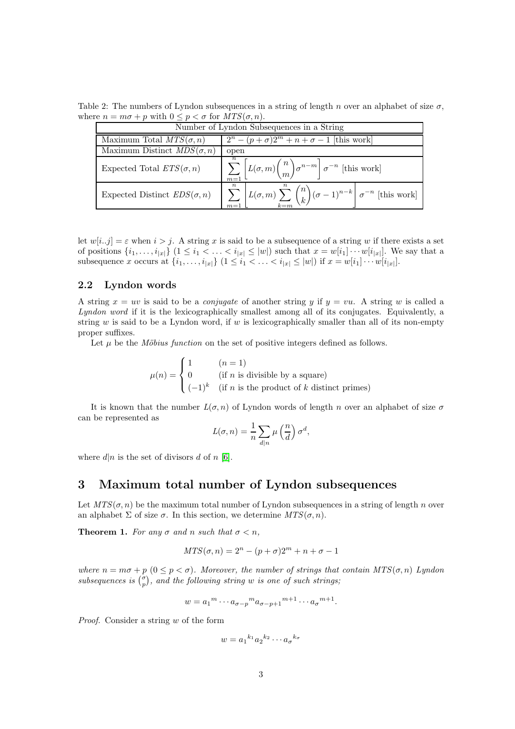Table 2: The numbers of Lyndon subsequences in a string of length n over an alphabet of size  $\sigma$ , where  $n = m\sigma + p$  with  $0 \le p < \sigma$  for  $MTS(\sigma, n)$ .

<span id="page-2-0"></span>

| Number of Lyndon Subsequences in a String |                                                                                                                         |  |  |  |
|-------------------------------------------|-------------------------------------------------------------------------------------------------------------------------|--|--|--|
| Maximum Total $MTS(\sigma, n)$            | $2^n - (p+\sigma)2^m + n + \sigma - 1$ [this work]                                                                      |  |  |  |
| Maximum Distinct $MDS(\sigma, n)$         | open                                                                                                                    |  |  |  |
| Expected Total $ETS(\sigma, n)$           | $\left( \sum_{m=1}^{n} \overline{\left[ L(\sigma,m) \binom{n}{m} \sigma^{n-m} \right] \sigma^{-n}} \right)$ [this work] |  |  |  |
| Expected Distinct $EDS(\sigma, n)$        | $\sum_{m=1}^{n} \left[ L(\sigma, m) \sum_{k=m}^{n} {n \choose k} (\sigma - 1)^{n-k} \right] \sigma^{-n}$ [this work]    |  |  |  |

let  $w[i..j] = \varepsilon$  when  $i > j$ . A string x is said to be a subsequence of a string w if there exists a set of positions  $\{i_1,\ldots,i_{|x|}\}\ (1\leq i_1<\ldots such that  $x=w[i_1]\cdots w[i_{|x|}]$ . We say that a$ subsequence x occurs at  $\{i_1, ..., i_{|x|}\}\ (1 \leq i_1 < ... < i_{|x|} \leq |w|)$  if  $x = w[i_1] \cdots w[i_{|x|}]$ .

#### 2.2 Lyndon words

A string  $x = uv$  is said to be a *conjugate* of another string y if  $y = vu$ . A string w is called a Lyndon word if it is the lexicographically smallest among all of its conjugates. Equivalently, a string  $w$  is said to be a Lyndon word, if  $w$  is lexicographically smaller than all of its non-empty proper suffixes.

Let  $\mu$  be the *Möbius function* on the set of positive integers defined as follows.

$$
\mu(n) = \begin{cases} 1 & (n = 1) \\ 0 & (if n is divisible by a square) \\ (-1)^k & (if n is the product of k distinct primes) \end{cases}
$$

It is known that the number  $L(\sigma, n)$  of Lyndon words of length n over an alphabet of size  $\sigma$ can be represented as

$$
L(\sigma, n) = \frac{1}{n} \sum_{d|n} \mu\left(\frac{n}{d}\right) \sigma^d,
$$

where  $d|n$  is the set of divisors d of n [\[6\]](#page-7-8).

#### 3 Maximum total number of Lyndon subsequences

Let  $MTS(\sigma, n)$  be the maximum total number of Lyndon subsequences in a string of length n over an alphabet  $\Sigma$  of size  $\sigma$ . In this section, we determine  $MTS(\sigma, n)$ .

**Theorem 1.** For any  $\sigma$  and n such that  $\sigma < n$ ,

$$
MTS(\sigma, n) = 2^n - (p + \sigma)2^m + n + \sigma - 1
$$

where  $n = m\sigma + p$   $(0 \leq p < \sigma)$ . Moreover, the number of strings that contain  $MTS(\sigma, n)$  Lyndon subsequences is  $\binom{\sigma}{p}$ , and the following string w is one of such strings;

$$
w = a_1^m \cdots a_{\sigma - p}^m a_{\sigma - p + 1}^{m+1} \cdots a_{\sigma}^{m+1}.
$$

Proof. Consider a string w of the form

$$
w = a_1^{k_1} a_2^{k_2} \cdots a_\sigma^{k_\sigma}
$$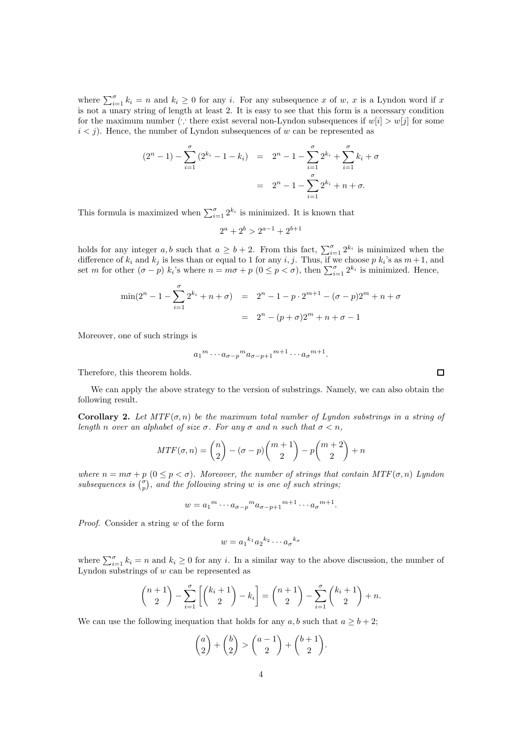where  $\sum_{i=1}^{\sigma} k_i = n$  and  $k_i \geq 0$  for any i. For any subsequence x of w, x is a Lyndon word if x is not a unary string of length at least 2. It is easy to see that this form is a necessary condition for the maximum number (∵ there exist several non-Lyndon subsequences if  $w[i] > w[j]$  for some  $i < j$ ). Hence, the number of Lyndon subsequences of w can be represented as

$$
(2n - 1) - \sum_{i=1}^{\sigma} (2^{k_i} - 1 - k_i) = 2n - 1 - \sum_{i=1}^{\sigma} 2^{k_i} + \sum_{i=1}^{\sigma} k_i + \sigma
$$

$$
= 2n - 1 - \sum_{i=1}^{\sigma} 2^{k_i} + n + \sigma.
$$

This formula is maximized when  $\sum_{i=1}^{\sigma} 2^{k_i}$  is minimized. It is known that

$$
2^a + 2^b > 2^{a-1} + 2^{b+1}
$$

holds for any integer  $a, b$  such that  $a \geq b + 2$ . From this fact,  $\sum_{i=1}^{\sigma} 2^{k_i}$  is minimized when the difference of  $k_i$  and  $k_j$  is less than or equal to 1 for any i, j. Thus, if we choose p  $k_i$ 's as  $m+1$ , and set m for other  $(\sigma - p)$   $k_i$ 's where  $n = m\sigma + p$   $(0 \le p < \sigma)$ , then  $\sum_{i=1}^{\sigma} 2^{k_i}$  is minimized. Hence,

$$
\min(2^{n} - 1 - \sum_{i=1}^{\sigma} 2^{k_i} + n + \sigma) = 2^{n} - 1 - p \cdot 2^{m+1} - (\sigma - p)2^{m} + n + \sigma
$$

$$
= 2^{n} - (p + \sigma)2^{m} + n + \sigma - 1
$$

Moreover, one of such strings is

$$
a_1^m \cdots a_{\sigma-p}^m a_{\sigma-p+1}^{m+1} \cdots a_{\sigma}^{m+1}.
$$

Therefore, this theorem holds.

We can apply the above strategy to the version of substrings. Namely, we can also obtain the following result.

**Corollary 2.** Let  $MTF(\sigma, n)$  be the maximum total number of Lyndon substrings in a string of length n over an alphabet of size  $\sigma$ . For any  $\sigma$  and n such that  $\sigma < n$ ,

$$
MTF(\sigma, n) = \binom{n}{2} - (\sigma - p)\binom{m+1}{2} - p\binom{m+2}{2} + n
$$

where  $n = m\sigma + p$   $(0 \leq p < \sigma)$ . Moreover, the number of strings that contain  $MTF(\sigma, n)$  Lyndon subsequences is  $\binom{\sigma}{p}$ , and the following string w is one of such strings;

$$
w = a_1^m \cdots a_{\sigma - p}^m a_{\sigma - p + 1}^{m+1} \cdots a_{\sigma}^{m+1}.
$$

Proof. Consider a string w of the form

$$
w = a_1^{k_1} a_2^{k_2} \cdots a_\sigma^{k_\sigma}
$$

where  $\sum_{i=1}^{\sigma} k_i = n$  and  $k_i \geq 0$  for any i. In a similar way to the above discussion, the number of Lyndon substrings of  $w$  can be represented as

$$
\binom{n+1}{2} - \sum_{i=1}^{5} \left[ \binom{k_i+1}{2} - k_i \right] = \binom{n+1}{2} - \sum_{i=1}^{5} \binom{k_i+1}{2} + n.
$$

We can use the following inequation that holds for any  $a, b$  such that  $a \geq b + 2$ ;

$$
\binom{a}{2} + \binom{b}{2} > \binom{a-1}{2} + \binom{b+1}{2}.
$$

 $\Box$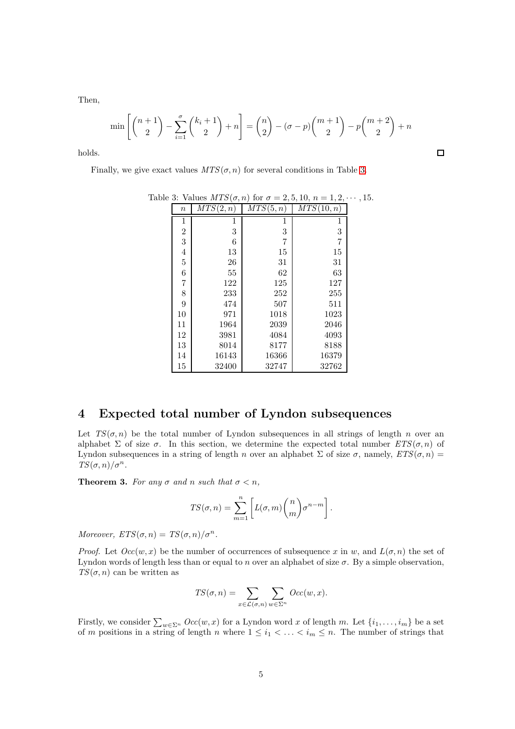Then,

$$
\min \left[ \binom{n+1}{2} - \sum_{i=1}^{5} \binom{k_i+1}{2} + n \right] = \binom{n}{2} - (\sigma - p) \binom{m+1}{2} - p \binom{m+2}{2} + n
$$

 $\Box$ 

holds.

Finally, we give exact values  $MTS(\sigma, n)$  for several conditions in Table [3.](#page-4-0)

<span id="page-4-0"></span>

|                  | $\sqrt{2}$ |           | - - - - - - - - -<br>. | , . |
|------------------|------------|-----------|------------------------|-----|
| $\boldsymbol{n}$ | MTS(2,n)   | MTS(5, n) | MTS(10, n)             |     |
| 1                | 1          | 1         | 1                      |     |
| $\overline{2}$   | 3          | 3         | 3                      |     |
| 3                | 6          | 7         | 7                      |     |
| $\overline{4}$   | 13         | 15        | 15                     |     |
| $\overline{5}$   | 26         | 31        | 31                     |     |
| $\overline{6}$   | 55         | 62        | 63                     |     |
| 7                | 122        | 125       | 127                    |     |
| 8                | 233        | 252       | 255                    |     |
| 9                | 474        | 507       | 511                    |     |
| 10               | 971        | 1018      | 1023                   |     |
| 11               | 1964       | 2039      | 2046                   |     |
| 12               | 3981       | 4084      | 4093                   |     |
| 13               | 8014       | 8177      | 8188                   |     |
| 14               | 16143      | 16366     | 16379                  |     |
| 15               | 32400      | 32747     | 32762                  |     |

Table 3: Values  $MTS(\sigma, n)$  for  $\sigma = 2, 5, 10, n = 1, 2, \cdots, 15$ .

#### 4 Expected total number of Lyndon subsequences

Let  $TS(\sigma, n)$  be the total number of Lyndon subsequences in all strings of length n over an alphabet  $\Sigma$  of size  $\sigma$ . In this section, we determine the expected total number  $ETS(\sigma, n)$  of Lyndon subsequences in a string of length n over an alphabet  $\Sigma$  of size  $\sigma$ , namely,  $ETS(\sigma, n)$  =  $TS(\sigma, n)/\sigma^n$ .

**Theorem 3.** For any  $\sigma$  and n such that  $\sigma < n$ ,

$$
TS(\sigma, n) = \sum_{m=1}^{n} \left[ L(\sigma, m) {n \choose m} \sigma^{n-m} \right].
$$

Moreover,  $ETS(\sigma, n) = TS(\sigma, n) / \sigma^n$ .

*Proof.* Let  $Occ(w, x)$  be the number of occurrences of subsequence x in w, and  $L(\sigma, n)$  the set of Lyndon words of length less than or equal to n over an alphabet of size  $\sigma$ . By a simple observation,  $TS(\sigma, n)$  can be written as

$$
TS(\sigma,n) = \sum_{x \in \mathcal{L}(\sigma,n)} \sum_{w \in \Sigma^n} Occ(w,x).
$$

Firstly, we consider  $\sum_{w \in \Sigma^n} Occ(w, x)$  for a Lyndon word x of length m. Let  $\{i_1, \ldots, i_m\}$  be a set of m positions in a string of length n where  $1 \leq i_1 < \ldots < i_m \leq n$ . The number of strings that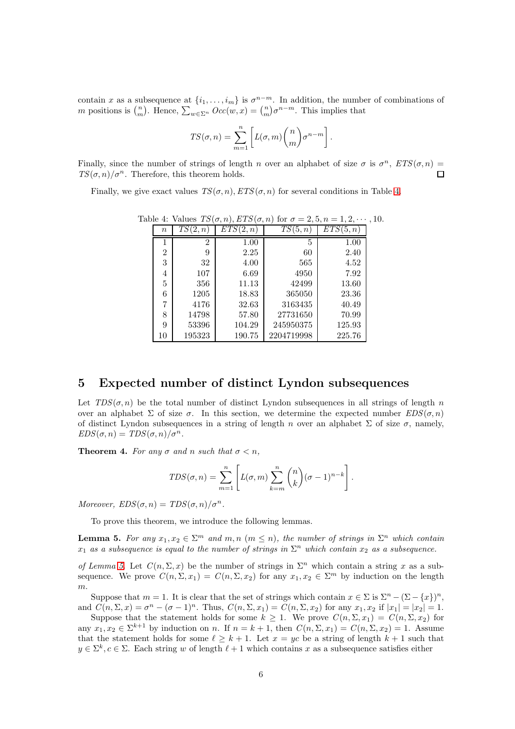contain x as a subsequence at  $\{i_1, \ldots, i_m\}$  is  $\sigma^{n-m}$ . In addition, the number of combinations of m positions is  $\binom{n}{m}$ . Hence,  $\sum_{w \in \Sigma^n} Occ(w, x) = \binom{n}{m} \sigma^{n-m}$ . This implies that

$$
TS(\sigma, n) = \sum_{m=1}^{n} \left[ L(\sigma, m) {n \choose m} \sigma^{n-m} \right].
$$

Finally, since the number of strings of length n over an alphabet of size  $\sigma$  is  $\sigma^n$ ,  $ETS(\sigma, n)$  =  $TS(\sigma, n)/\sigma^n$ . Therefore, this theorem holds.  $\Box$ 

Finally, we give exact values  $TS(\sigma, n)$ ,  $ETS(\sigma, n)$  for several conditions in Table [4.](#page-5-0)

<span id="page-5-0"></span>

| $\it{n}$       | TS(2,n)        | ETS(2, n) | TS(5, n)   | ETS<br>5, n |
|----------------|----------------|-----------|------------|-------------|
|                | $\overline{2}$ | 1.00      | 5          | 1.00        |
| $\overline{2}$ | 9              | 2.25      | 60         | 2.40        |
| 3              | 32             | 4.00      | 565        | 4.52        |
| 4              | 107            | 6.69      | 4950       | 7.92        |
| 5              | 356            | 11.13     | 42499      | 13.60       |
| 6              | 1205           | 18.83     | 365050     | 23.36       |
| 7              | 4176           | 32.63     | 3163435    | 40.49       |
| 8              | 14798          | 57.80     | 27731650   | 70.99       |
| 9              | 53396          | 104.29    | 245950375  | 125.93      |
| 10             | 195323         | 190.75    | 2204719998 | 225.76      |

Table 4: Values  $TS(\sigma, n)$ ,  $ETS(\sigma, n)$  for  $\sigma = 2, 5, n = 1, 2, \cdots, 10$ .

#### 5 Expected number of distinct Lyndon subsequences

Let  $TDS(\sigma, n)$  be the total number of distinct Lyndon subsequences in all strings of length n over an alphabet  $\Sigma$  of size  $\sigma$ . In this section, we determine the expected number  $EDS(\sigma, n)$ of distinct Lyndon subsequences in a string of length n over an alphabet  $\Sigma$  of size  $\sigma$ , namely,  $EDS(\sigma, n) = TDS(\sigma, n)/\sigma^n$ .

<span id="page-5-2"></span>**Theorem 4.** For any  $\sigma$  and n such that  $\sigma < n$ ,

$$
TDS(\sigma, n) = \sum_{m=1}^{n} \left[ L(\sigma, m) \sum_{k=m}^{n} {n \choose k} (\sigma - 1)^{n-k} \right].
$$

Moreover,  $EDS(\sigma, n) = TDS(\sigma, n)/\sigma^n$ .

To prove this theorem, we introduce the following lemmas.

<span id="page-5-1"></span>**Lemma 5.** For any  $x_1, x_2 \in \Sigma^m$  and  $m, n \ (m \leq n)$ , the number of strings in  $\Sigma^n$  which contain  $x_1$  as a subsequence is equal to the number of strings in  $\Sigma^n$  which contain  $x_2$  as a subsequence.

of Lemma [5.](#page-5-1) Let  $C(n, \Sigma, x)$  be the number of strings in  $\Sigma<sup>n</sup>$  which contain a string x as a subsequence. We prove  $C(n,\Sigma,x_1) = C(n,\Sigma,x_2)$  for any  $x_1,x_2 \in \Sigma^m$  by induction on the length m.

Suppose that  $m = 1$ . It is clear that the set of strings which contain  $x \in \Sigma$  is  $\Sigma^{n} - (\Sigma - \{x\})^{n}$ , and  $C(n,\Sigma,x) = \sigma^n - (\sigma - 1)^n$ . Thus,  $C(n,\Sigma,x_1) = C(n,\Sigma,x_2)$  for any  $x_1, x_2$  if  $|x_1| = |x_2| = 1$ .

Suppose that the statement holds for some  $k \geq 1$ . We prove  $C(n, \Sigma, x_1) = C(n, \Sigma, x_2)$  for any  $x_1, x_2 \in \Sigma^{k+1}$  by induction on n. If  $n = k+1$ , then  $C(n, \Sigma, x_1) = C(n, \Sigma, x_2) = 1$ . Assume that the statement holds for some  $\ell \geq k+1$ . Let  $x = yc$  be a string of length  $k+1$  such that  $y \in \Sigma^k, c \in \Sigma$ . Each string w of length  $\ell + 1$  which contains x as a subsequence satisfies either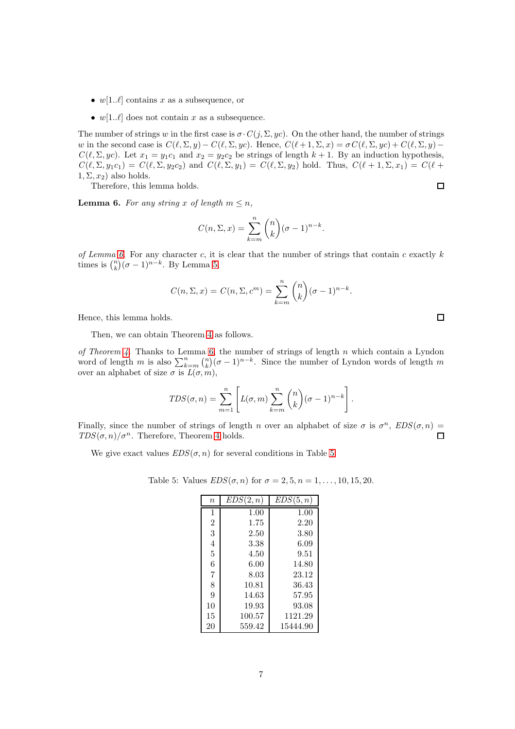- $w[1..\ell]$  contains x as a subsequence, or
- $w[1..\ell]$  does not contain x as a subsequence.

The number of strings w in the first case is  $\sigma \cdot C(j, \Sigma, yc)$ . On the other hand, the number of strings w in the second case is  $C(\ell, \Sigma, y) - C(\ell, \Sigma, yc)$ . Hence,  $C(\ell+1, \Sigma, x) = \sigma C(\ell, \Sigma, yc) + C(\ell, \Sigma, y)$  - $C(\ell, \Sigma, yc)$ . Let  $x_1 = y_1c_1$  and  $x_2 = y_2c_2$  be strings of length  $k + 1$ . By an induction hypothesis,  $C(\ell, \Sigma, y_1c_1) = C(\ell, \Sigma, y_2c_2)$  and  $C(\ell, \Sigma, y_1) = C(\ell, \Sigma, y_2)$  hold. Thus,  $C(\ell+1, \Sigma, x_1) = C(\ell+1)$  $1, \Sigma, x_2$ ) also holds.

Therefore, this lemma holds.

<span id="page-6-0"></span>**Lemma 6.** For any string x of length  $m \leq n$ ,

$$
C(n, \Sigma, x) = \sum_{k=m}^{n} {n \choose k} (\sigma - 1)^{n-k}.
$$

of Lemma [6.](#page-6-0) For any character c, it is clear that the number of strings that contain c exactly  $k$ times is  $\binom{n}{k} (\sigma - 1)^{n-k}$ . By Lemma [5,](#page-5-1)

$$
C(n, \Sigma, x) = C(n, \Sigma, cm) = \sum_{k=m}^{n} {n \choose k} (\sigma - 1)^{n-k}.
$$

Hence, this lemma holds.

Then, we can obtain Theorem [4](#page-5-2) as follows.

of Theorem [4.](#page-5-2) Thanks to Lemma [6,](#page-6-0) the number of strings of length n which contain a Lyndon word of length m is also  $\sum_{k=m}^{n} {n \choose k} (\sigma - 1)^{n-k}$ . Since the number of Lyndon words of length m over an alphabet of size  $\sigma$  is  $L(\sigma, m)$ ,

$$
TDS(\sigma, n) = \sum_{m=1}^{n} \left[ L(\sigma, m) \sum_{k=m}^{n} {n \choose k} (\sigma - 1)^{n-k} \right].
$$

Finally, since the number of strings of length n over an alphabet of size  $\sigma$  is  $\sigma^n$ ,  $EDS(\sigma, n)$  =  $TDS(\sigma, n)/\sigma^n$ . Therefore, Theorem [4](#page-5-2) holds.  $\Box$ 

We give exact values  $EDS(\sigma, n)$  for several conditions in Table [5.](#page-6-1)

Table 5: Values  $EDS(\sigma, n)$  for  $\sigma = 2, 5, n = 1, ..., 10, 15, 20$ .

<span id="page-6-1"></span>

| $\it n$        | EDS(2, n) | EDS(5, n) |
|----------------|-----------|-----------|
| 1              | 1.00      | 1.00      |
| $\overline{2}$ | 1.75      | 2.20      |
| 3              | 2.50      | 3.80      |
| $\overline{4}$ | 3.38      | 6.09      |
| 5              | 4.50      | 9.51      |
| 6              | 6.00      | 14.80     |
| $\overline{7}$ | 8.03      | 23.12     |
| 8              | 10.81     | 36.43     |
| 9              | 14.63     | 57.95     |
| 10             | 19.93     | 93.08     |
| 15             | 100.57    | 1121.29   |
| 20             | 559.42    | 15444.90  |

 $\Box$ 

 $\Box$